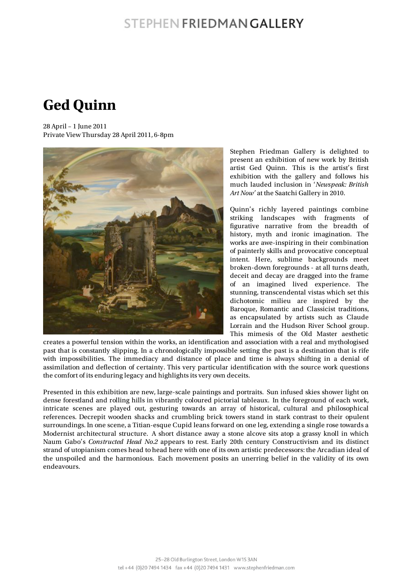## STEPHEN FRIEDMAN GALLERY

## **Ged Quinn**

28 April – 1 June 2011 Private View Thursday 28 April 2011, 6-8pm



Stephen Friedman Gallery is delighted to present an exhibition of new work by British artist Ged Quinn. This is the artist's first exhibition with the gallery and follows his much lauded inclusion in '*Newspeak: British Art Now'* at the Saatchi Gallery in 2010.

Quinn's richly layered paintings combine striking landscapes with fragments of figurative narrative from the breadth of history, myth and ironic imagination. The works are awe-inspiring in their combination of painterly skills and provocative conceptual intent. Here, sublime backgrounds meet broken-down foregrounds - at all turns death, deceit and decay are dragged into the frame of an imagined lived experience. The stunning, transcendental vistas which set this dichotomic milieu are inspired by the Baroque, Romantic and Classicist traditions, as encapsulated by artists such as Claude Lorrain and the Hudson River School group. This mimesis of the Old Master aesthetic

creates a powerful tension within the works, an identification and association with a real and mythologised past that is constantly slipping. In a chronologically impossible setting the past is a destination that is rife with impossibilities. The immediacy and distance of place and time is always shifting in a denial of assimilation and deflection of certainty. This very particular identification with the source work questions the comfort of its enduring legacy and highlights its very own deceits.

Presented in this exhibition are new, large-scale paintings and portraits. Sun infused skies shower light on dense forestland and rolling hills in vibrantly coloured pictorial tableaux. In the foreground of each work, intricate scenes are played out, gesturing towards an array of historical, cultural and philosophical references. Decrepit wooden shacks and crumbling brick towers stand in stark contrast to their opulent surroundings. In one scene, a Titian-esque Cupid leans forward on one leg, extending a single rose towards a Modernist architectural structure. A short distance away a stone alcove sits atop a grassy knoll in which Naum Gabo's *Constructed Head No.2* appears to rest. Early 20th century Constructivism and its distinct strand of utopianism comes head to head here with one of its own artistic predecessors: the Arcadian ideal of the unspoiled and the harmonious. Each movement posits an unerring belief in the validity of its own endeavours.